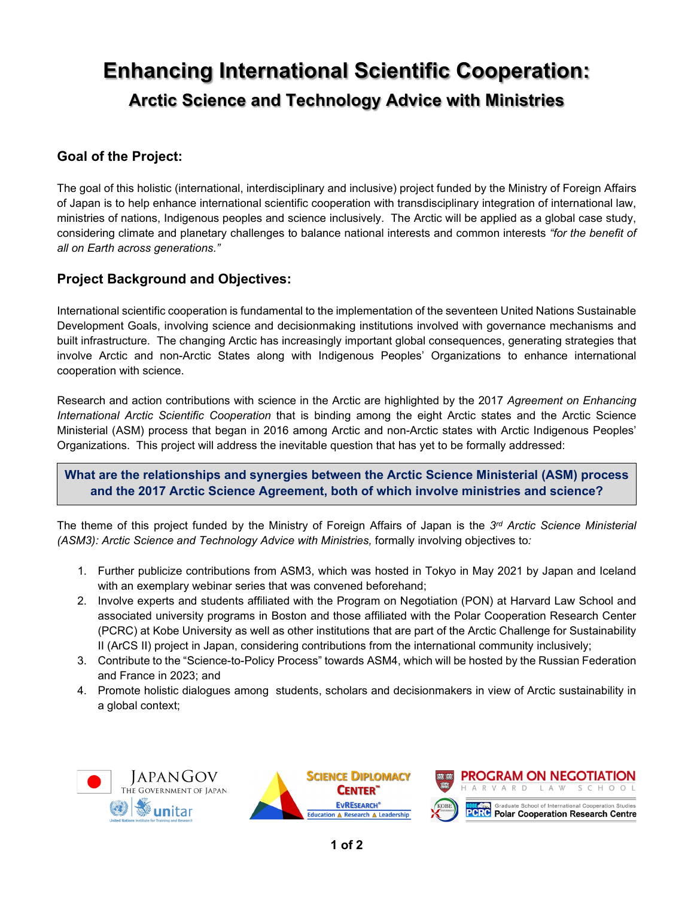# **Enhancing International Scientific Cooperation: Arctic Science and Technology Advice with Ministries**

# **Goal of the Project:**

The goal of this holistic (international, interdisciplinary and inclusive) project funded by the Ministry of Foreign Affairs of Japan is to help enhance international scientific cooperation with transdisciplinary integration of international law, ministries of nations, Indigenous peoples and science inclusively. The Arctic will be applied as a global case study, considering climate and planetary challenges to balance national interests and common interests *"for the benefit of all on Earth across generations."*

# **Project Background and Objectives:**

International scientific cooperation is fundamental to the implementation of the seventeen United Nations Sustainable Development Goals, involving science and decisionmaking institutions involved with governance mechanisms and built infrastructure. The changing Arctic has increasingly important global consequences, generating strategies that involve Arctic and non-Arctic States along with Indigenous Peoples' Organizations to enhance international cooperation with science.

Research and action contributions with science in the Arctic are highlighted by the 2017 *Agreement on Enhancing International Arctic Scientific Cooperation* that is binding among the eight Arctic states and the Arctic Science Ministerial (ASM) process that began in 2016 among Arctic and non-Arctic states with Arctic Indigenous Peoples' Organizations. This project will address the inevitable question that has yet to be formally addressed:

#### **What are the relationships and synergies between the Arctic Science Ministerial (ASM) process and the 2017 Arctic Science Agreement, both of which involve ministries and science?**

The theme of this project funded by the Ministry of Foreign Affairs of Japan is the *3rd Arctic Science Ministerial (ASM3): Arctic Science and Technology Advice with Ministries,* formally involving objectives to*:*

- 1. Further publicize contributions from ASM3, which was hosted in Tokyo in May 2021 by Japan and Iceland with an exemplary webinar series that was convened beforehand;
- 2. Involve experts and students affiliated with the Program on Negotiation (PON) at Harvard Law School and associated university programs in Boston and those affiliated with the Polar Cooperation Research Center (PCRC) at Kobe University as well as other institutions that are part of the Arctic Challenge for Sustainability II (ArCS II) project in Japan, considering contributions from the international community inclusively;
- 3. Contribute to the "Science-to-Policy Process" towards ASM4, which will be hosted by the Russian Federation and France in 2023; and
- 4. Promote holistic dialogues among students, scholars and decisionmakers in view of Arctic sustainability in a global context;